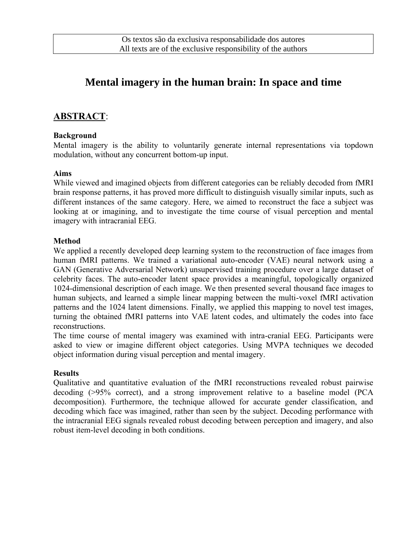# **Mental imagery in the human brain: In space and time**

# **ABSTRACT**:

## **Background**

Mental imagery is the ability to voluntarily generate internal representations via topdown modulation, without any concurrent bottom-up input.

## **Aims**

While viewed and imagined objects from different categories can be reliably decoded from fMRI brain response patterns, it has proved more difficult to distinguish visually similar inputs, such as different instances of the same category. Here, we aimed to reconstruct the face a subject was looking at or imagining, and to investigate the time course of visual perception and mental imagery with intracranial EEG.

## **Method**

We applied a recently developed deep learning system to the reconstruction of face images from human fMRI patterns. We trained a variational auto-encoder (VAE) neural network using a GAN (Generative Adversarial Network) unsupervised training procedure over a large dataset of celebrity faces. The auto-encoder latent space provides a meaningful, topologically organized 1024-dimensional description of each image. We then presented several thousand face images to human subjects, and learned a simple linear mapping between the multi-voxel fMRI activation patterns and the 1024 latent dimensions. Finally, we applied this mapping to novel test images, turning the obtained fMRI patterns into VAE latent codes, and ultimately the codes into face reconstructions.

The time course of mental imagery was examined with intra-cranial EEG. Participants were asked to view or imagine different object categories. Using MVPA techniques we decoded object information during visual perception and mental imagery.

# **Results**

Qualitative and quantitative evaluation of the fMRI reconstructions revealed robust pairwise decoding (>95% correct), and a strong improvement relative to a baseline model (PCA decomposition). Furthermore, the technique allowed for accurate gender classification, and decoding which face was imagined, rather than seen by the subject. Decoding performance with the intracranial EEG signals revealed robust decoding between perception and imagery, and also robust item-level decoding in both conditions.